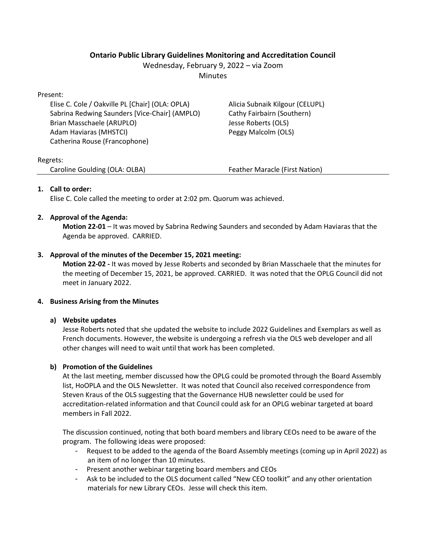# **Ontario Public Library Guidelines Monitoring and Accreditation Council**

Wednesday, February 9, 2022 – via Zoom

**Minutes** 

Present:

Elise C. Cole / Oakville PL [Chair] (OLA: OPLA) Sabrina Redwing Saunders [Vice-Chair] (AMPLO) Brian Masschaele (ARUPLO) Adam Haviaras (MHSTCI) Catherina Rouse (Francophone)

Alicia Subnaik Kilgour (CELUPL) Cathy Fairbairn (Southern) Jesse Roberts (OLS) Peggy Malcolm (OLS)

## Regrets:

Caroline Goulding (OLA: OLBA) Feather Maracle (First Nation)

# **1. Call to order:**

Elise C. Cole called the meeting to order at 2:02 pm. Quorum was achieved.

## **2. Approval of the Agenda:**

**Motion 22-01** – It was moved by Sabrina Redwing Saunders and seconded by Adam Haviaras that the Agenda be approved. CARRIED.

## **3. Approval of the minutes of the December 15, 2021 meeting:**

**Motion 22-02 -** It was moved by Jesse Roberts and seconded by Brian Masschaele that the minutes for the meeting of December 15, 2021, be approved. CARRIED. It was noted that the OPLG Council did not meet in January 2022.

## **4. Business Arising from the Minutes**

## **a) Website updates**

Jesse Roberts noted that she updated the website to include 2022 Guidelines and Exemplars as well as French documents. However, the website is undergoing a refresh via the OLS web developer and all other changes will need to wait until that work has been completed.

# **b) Promotion of the Guidelines**

At the last meeting, member discussed how the OPLG could be promoted through the Board Assembly list, HoOPLA and the OLS Newsletter. It was noted that Council also received correspondence from Steven Kraus of the OLS suggesting that the Governance HUB newsletter could be used for accreditation-related information and that Council could ask for an OPLG webinar targeted at board members in Fall 2022.

The discussion continued, noting that both board members and library CEOs need to be aware of the program. The following ideas were proposed:

- Request to be added to the agenda of the Board Assembly meetings (coming up in April 2022) as an item of no longer than 10 minutes.
- Present another webinar targeting board members and CEOs
- Ask to be included to the OLS document called "New CEO toolkit" and any other orientation materials for new Library CEOs. Jesse will check this item.